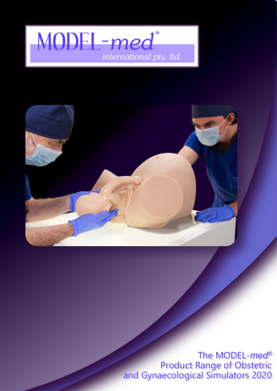



The MODEL-*med®* Product Range of Obstetric and Gynaecological Simulators 2020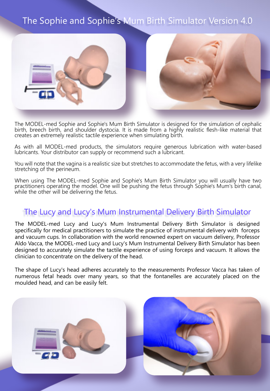### The Sophie and Sophie's Mum Birth Simulator Version 4.0



The MODEL-med Sophie and Sophie's Mum Birth Simulator is designed for the simulation of cephalic birth, breech birth, and shoulder dystocia. It is made from a highly realistic flesh-like material that creates an extremely realistic tactile experience when simulating birth.

As with all MODEL-med products, the simulators require generous lubrication with water-based lubricants. Your distributor can supply or recommend such a lubricant.

You will note that the vagina is a realistic size but stretches to accommodate the fetus, with a very lifelike stretching of the perineum.

When using The MODEL-med Sophie and Sophie's Mum Birth Simulator you will usually have two practitioners operating the model. One will be pushing the fetus through Sophie's Mum's birth canal, while the other will be delivering the fetus.

#### The Lucy and Lucy's Mum Instrumental Delivery Birth Simulator

The MODEL-med Lucy and Lucy's Mum Instrumental Delivery Birth Simulator is designed specifically for medical practitioners to simulate the practice of instrumental delivery with forceps and vacuum cups. In collaboration with the world renowned expert on vacuum delivery, Professor Aldo Vacca, the MODEL-med Lucy and Lucy's Mum Instrumental Delivery Birth Simulator has been designed to accurately simulate the tactile experience of using forceps and vacuum. It allows the clinician to concentrate on the delivery of the head.

The shape of Lucy's head adheres accurately to the measurements Professor Vacca has taken of numerous fetal heads over many years, so that the fontanelles are accurately placed on the moulded head, and can be easily felt.

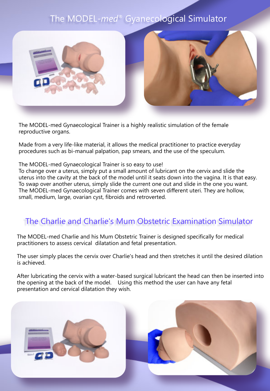### The MODEL-*med®* Gyanecological Simulator



The MODEL-med Gynaecological Trainer is a highly realistic simulation of the female reproductive organs.

Made from a very life-like material, it allows the medical practitioner to practice everyday procedures such as bi-manual palpation, pap smears, and the use of the speculum.

#### The MODEL-med Gynaecological Trainer is so easy to use!

To change over a uterus, simply put a small amount of lubricant on the cervix and slide the uterus into the cavity at the back of the model until it seats down into the vagina. It is that easy. To swap over another uterus, simply slide the current one out and slide in the one you want. The MODEL-med Gynaecological Trainer comes with seven different uteri. They are hollow, small, medium, large, ovarian cyst, fibroids and retroverted.

#### The Charlie and Charlie's Mum Obstetric Examination Simulator

The MODEL-med Charlie and his Mum Obstetric Trainer is designed specifically for medical practitioners to assess cervical dilatation and fetal presentation.

The user simply places the cervix over Charlie's head and then stretches it until the desired dilation is achieved.

After lubricating the cervix with a water-based surgical lubricant the head can then be inserted into the opening at the back of the model. Using this method the user can have any fetal presentation and cervical dilatation they wish.